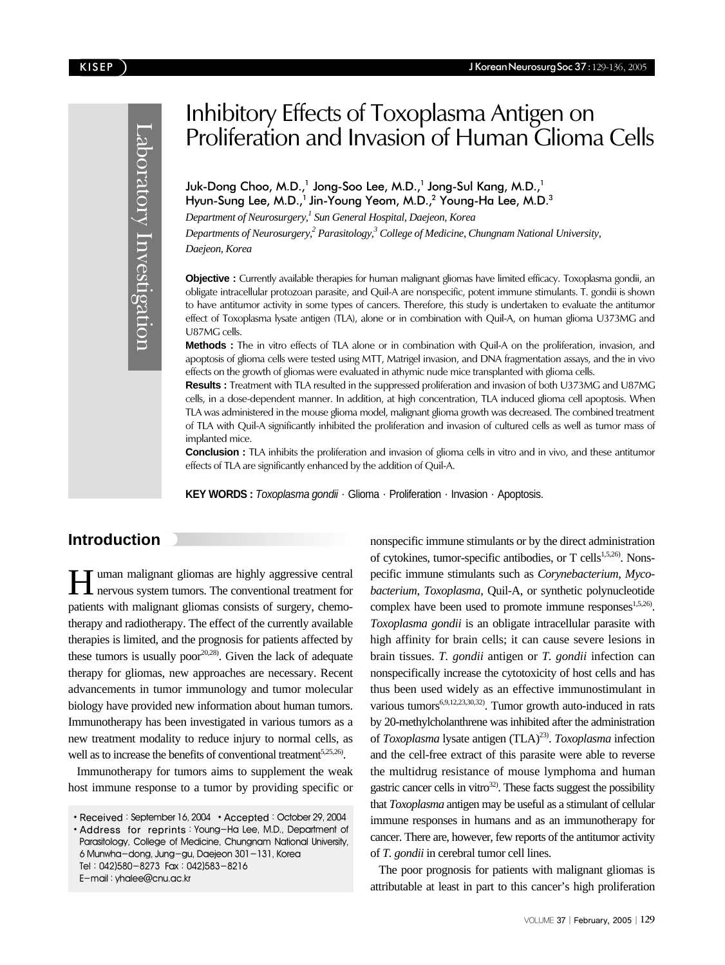Laboratory Investigation Laboratory Investigation

# Inhibitory Effects of *Toxoplasma* Antigen on Proliferation and Invasion of Human Glioma Cells

Juk-Dong Choo, M.D.,<sup>1</sup> Jong-Soo Lee, M.D.,<sup>1</sup> Jong-Sul Kang, M.D.,<sup>1</sup> Hyun-Sung Lee, M.D.,<sup>1</sup> Jin-Young Yeom, M.D.,<sup>2</sup> Young-Ha Lee, M.D.<sup>3</sup>

*Department of Neurosurgery,1 Sun General Hospital, Daejeon, Korea* 

*Departments of Neurosurgery,2 Parasitology,3 College of Medicine, Chungnam National University, Daejeon, Korea* 

**Objective :** Currently available therapies for human malignant gliomas have limited efficacy. *Toxoplasma gondii*, an obligate intracellular protozoan parasite, and Quil-A are nonspecific, potent immune stimulants. *T. gondii* is shown to have antitumor activity in some types of cancers. Therefore, this study is undertaken to evaluate the antitumor effect of *Toxoplasma* lysate antigen (TLA), alone or in combination with Quil-A, on human glioma U373MG and U87MG cells.

**Methods :** The *in vitro* effects of TLA alone or in combination with Quil-A on the proliferation, invasion, and apoptosis of glioma cells were tested using MTT, Matrigel invasion, and DNA fragmentation assays, and the *in vivo* effects on the growth of gliomas were evaluated in athymic nude mice transplanted with glioma cells.

**Results :** Treatment with TLA resulted in the suppressed proliferation and invasion of both U373MG and U87MG cells, in a dose-dependent manner. In addition, at high concentration, TLA induced glioma cell apoptosis. When TLA was administered in the mouse glioma model, malignant glioma growth was decreased. The combined treatment of TLA with Quil-A significantly inhibited the proliferation and invasion of cultured cells as well as tumor mass of implanted mice.

**Conclusion :** TLA inhibits the proliferation and invasion of glioma cells *in vitro* and *in vivo*, and these antitumor effects of TLA are significantly enhanced by the addition of Quil-A.

KEY WORDS : Toxoplasma gondii · Glioma · Proliferation · Invasion · Apoptosis.

## **Introduction**

Human malignant gliomas are highly aggressive central nervous system tumors. The conventional treatment for patients with malignant gliomas consists of surgery, chemotherapy and radiotherapy. The effect of the currently available therapies is limited, and the prognosis for patients affected by these tumors is usually poor $20,28$ . Given the lack of adequate therapy for gliomas, new approaches are necessary. Recent advancements in tumor immunology and tumor molecular biology have provided new information about human tumors. Immunotherapy has been investigated in various tumors as a new treatment modality to reduce injury to normal cells, as well as to increase the benefits of conventional treatment<sup>5,25,26</sup>.

Immunotherapy for tumors aims to supplement the weak host immune response to a tumor by providing specific or

• Received: September 16, 2004 • Accepted: October 29, 2004

Address for reprints:Young-Ha Lee, M.D., Department of Parasitology, College of Medicine, Chungnam National University, 6 Munwha-dong, Jung-gu, Daejeon 301-131, Korea Tel:042)580-8273 Fax:042)583-8216 E-mail : yhalee@cnu.ac.kr

nonspecific immune stimulants or by the direct administration of cytokines, tumor-specific antibodies, or T cells<sup>1,5,26</sup>). Nonspecific immune stimulants such as *Corynebacterium, Mycobacterium*, *Toxoplasma*, Quil-A, or synthetic polynucleotide complex have been used to promote immune responses<sup>1,5,26</sup>. *Toxoplasma gondii* is an obligate intracellular parasite with high affinity for brain cells; it can cause severe lesions in brain tissues. *T. gondii* antigen or *T. gondii* infection can nonspecifically increase the cytotoxicity of host cells and has thus been used widely as an effective immunostimulant in various tumors<sup>6,9,12,23,30,32)</sup>. Tumor growth auto-induced in rats by 20-methylcholanthrene was inhibited after the administration of *Toxoplasma* lysate antigen (TLA)<sup>23)</sup>. *Toxoplasma* infection and the cell-free extract of this parasite were able to reverse the multidrug resistance of mouse lymphoma and human gastric cancer cells in vitro<sup>32</sup>. These facts suggest the possibility that *Toxoplasma* antigen may be useful as a stimulant of cellular immune responses in humans and as an immunotherapy for cancer. There are, however, few reports of the antitumor activity of *T. gondii* in cerebral tumor cell lines.

The poor prognosis for patients with malignant gliomas is attributable at least in part to this cancer's high proliferation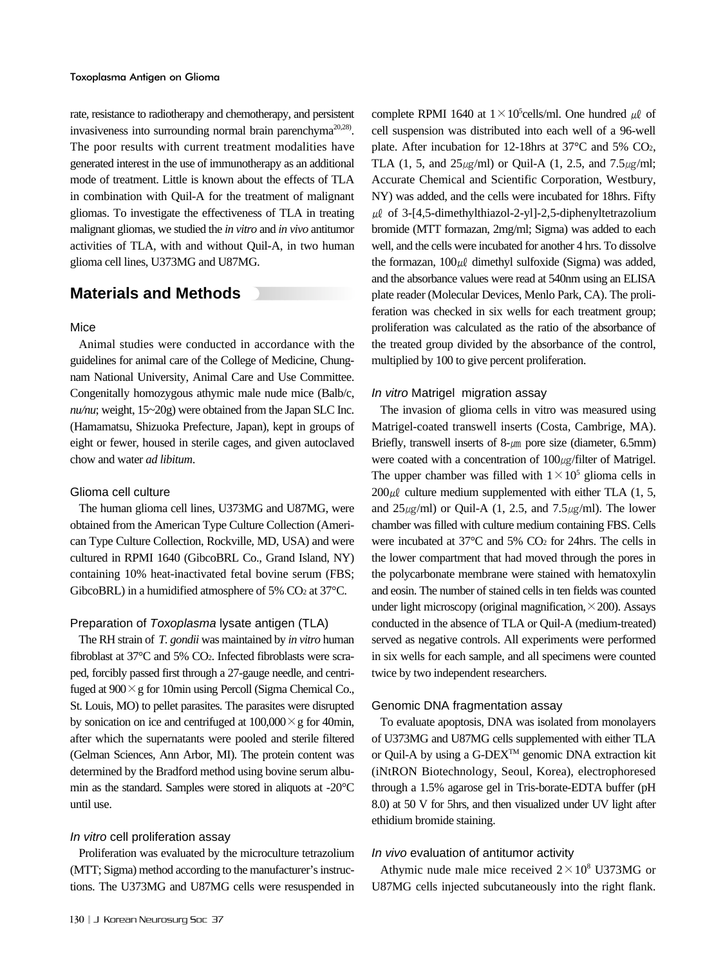rate, resistance to radiotherapy and chemotherapy, and persistent invasiveness into surrounding normal brain parenchyma<sup>20,28)</sup>. The poor results with current treatment modalities have generated interest in the use of immunotherapy as an additional mode of treatment. Little is known about the effects of TLA in combination with Quil-A for the treatment of malignant gliomas. To investigate the effectiveness of TLA in treating malignant gliomas, we studied the *in vitro* and *in vivo* antitumor activities of TLA, with and without Quil-A, in two human glioma cell lines, U373MG and U87MG.

## **Materials and Methods**

## Mice

Animal studies were conducted in accordance with the guidelines for animal care of the College of Medicine, Chungnam National University, Animal Care and Use Committee. Congenitally homozygous athymic male nude mice (Balb/c, *nu/nu*; weight, 15~20g) were obtained from the Japan SLC Inc. (Hamamatsu, Shizuoka Prefecture, Japan), kept in groups of eight or fewer, housed in sterile cages, and given autoclaved chow and water *ad libitum*.

#### Glioma cell culture

The human glioma cell lines, U373MG and U87MG, were obtained from the American Type Culture Collection (American Type Culture Collection, Rockville, MD, USA) and were cultured in RPMI 1640 (GibcoBRL Co., Grand Island, NY) containing 10% heat-inactivated fetal bovine serum (FBS; GibcoBRL) in a humidified atmosphere of 5%  $CO<sub>2</sub>$  at 37°C.

## Preparation of Toxoplasma lysate antigen (TLA)

The RH strain of *T. gondii* was maintained by *in vitro* human fibroblast at 37°C and 5% CO2. Infected fibroblasts were scraped, forcibly passed first through a 27-gauge needle, and centrifuged at  $900 \times g$  for 10min using Percoll (Sigma Chemical Co., St. Louis, MO) to pellet parasites. The parasites were disrupted by sonication on ice and centrifuged at  $100,000 \times g$  for 40min, after which the supernatants were pooled and sterile filtered (Gelman Sciences, Ann Arbor, MI). The protein content was determined by the Bradford method using bovine serum albumin as the standard. Samples were stored in aliquots at -20°C until use.

## In vitro cell proliferation assay

Proliferation was evaluated by the microculture tetrazolium (MTT; Sigma) method according to the manufacturer's instructions. The U373MG and U87MG cells were resuspended in

complete RPMI 1640 at  $1 \times 10^5$ cells/ml. One hundred  $\mu\ell$  of cell suspension was distributed into each well of a 96-well plate. After incubation for 12-18hrs at 37°C and 5% CO2, TLA (1, 5, and  $25\mu g/ml$ ) or Quil-A (1, 2.5, and 7.5 $\mu g/ml$ ; Accurate Chemical and Scientific Corporation, Westbury, NY) was added, and the cells were incubated for 18hrs. Fifty  $\mu$  of 3-[4,5-dimethylthiazol-2-yl]-2,5-diphenyltetrazolium bromide (MTT formazan, 2mg/ml; Sigma) was added to each well, and the cells were incubated for another 4 hrs. To dissolve the formazan,  $100 \mu\ell$  dimethyl sulfoxide (Sigma) was added, and the absorbance values were read at 540nm using an ELISA plate reader (Molecular Devices, Menlo Park, CA). The proliferation was checked in six wells for each treatment group; proliferation was calculated as the ratio of the absorbance of the treated group divided by the absorbance of the control, multiplied by 100 to give percent proliferation.

#### In vitro Matrigel migration assay

The invasion of glioma cells in vitro was measured using Matrigel-coated transwell inserts (Costa, Cambrige, MA). Briefly, transwell inserts of  $8-\mu m$  pore size (diameter, 6.5mm) were coated with a concentration of  $100<sub>µ</sub>$ filter of Matrigel. The upper chamber was filled with  $1 \times 10^5$  glioma cells in  $200 \mu\ell$  culture medium supplemented with either TLA (1, 5, and  $25\mu g/ml$ ) or Quil-A (1, 2.5, and 7.5 $\mu g/ml$ ). The lower chamber was filled with culture medium containing FBS. Cells were incubated at 37°C and 5% CO2 for 24hrs. The cells in the lower compartment that had moved through the pores in the polycarbonate membrane were stained with hematoxylin and eosin. The number of stained cells in ten fields was counted under light microscopy (original magnification,  $\times$  200). Assays conducted in the absence of TLA or Quil-A (medium-treated) served as negative controls. All experiments were performed in six wells for each sample, and all specimens were counted twice by two independent researchers.

#### Genomic DNA fragmentation assay

To evaluate apoptosis, DNA was isolated from monolayers of U373MG and U87MG cells supplemented with either TLA or Quil-A by using a G-DEX<sup>™</sup> genomic DNA extraction kit (iNtRON Biotechnology, Seoul, Korea), electrophoresed through a 1.5% agarose gel in Tris-borate-EDTA buffer (pH 8.0) at 50 V for 5hrs, and then visualized under UV light after ethidium bromide staining.

### In vivo evaluation of antitumor activity

Athymic nude male mice received  $2 \times 10^8$  U373MG or U87MG cells injected subcutaneously into the right flank.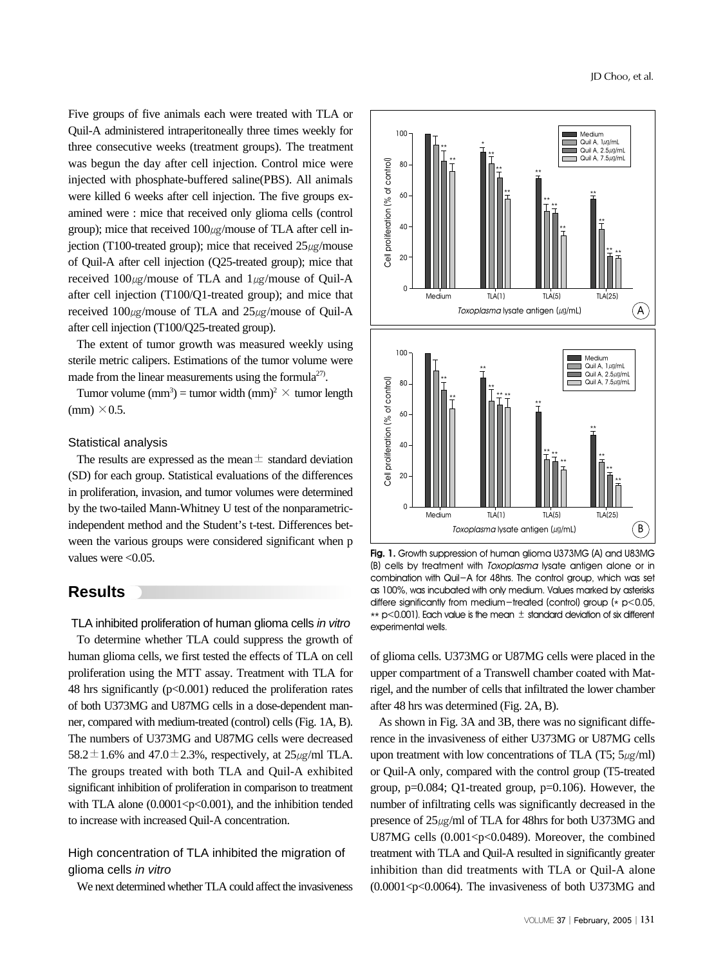Five groups of five animals each were treated with TLA or Quil-A administered intraperitoneally three times weekly for three consecutive weeks (treatment groups). The treatment was begun the day after cell injection. Control mice were injected with phosphate-buffered saline(PBS). All animals were killed 6 weeks after cell injection. The five groups examined were : mice that received only glioma cells (control group); mice that received  $100<sub>µ</sub>$ g/mouse of TLA after cell injection (T100-treated group); mice that received  $25\mu g/m$ ouse of Quil-A after cell injection (Q25-treated group); mice that received  $100\mu$ g/mouse of TLA and  $1\mu$ g/mouse of Quil-A after cell injection (T100/Q1-treated group); and mice that received  $100\mu$ g/mouse of TLA and  $25\mu$ g/mouse of Quil-A after cell injection (T100/Q25-treated group).

The extent of tumor growth was measured weekly using sterile metric calipers. Estimations of the tumor volume were made from the linear measurements using the formula<sup>27)</sup>.

Tumor volume (mm<sup>3</sup>) = tumor width (mm)<sup>2</sup>  $\times$  tumor length  $\text{(mm)} \times 0.5.$ 

### Statistical analysis

The results are expressed as the mean  $\pm$  standard deviation (SD) for each group. Statistical evaluations of the differences in proliferation, invasion, and tumor volumes were determined by the two-tailed Mann-Whitney U test of the nonparametricindependent method and the Student's t-test. Differences between the various groups were considered significant when p values were <0.05.

## **Results**

#### TLA inhibited proliferation of human glioma cells in vitro

To determine whether TLA could suppress the growth of human glioma cells, we first tested the effects of TLA on cell proliferation using the MTT assay. Treatment with TLA for 48 hrs significantly  $(p<0.001)$  reduced the proliferation rates of both U373MG and U87MG cells in a dose-dependent manner, compared with medium-treated (control) cells (Fig. 1A, B). The numbers of U373MG and U87MG cells were decreased 58.2 $\pm$ 1.6% and 47.0 $\pm$ 2.3%, respectively, at 25 $\mu$ g/ml TLA. The groups treated with both TLA and Quil-A exhibited significant inhibition of proliferation in comparison to treatment with TLA alone  $(0.0001 < p < 0.001)$ , and the inhibition tended to increase with increased Quil-A concentration.

## High concentration of TLA inhibited the migration of glioma cells in vitro

We next determined whether TLA could affect the invasiveness



**Fig. 1.** Growth suppression of human glioma U373MG (A) and U83MG (B) cells by treatment with Toxoplasma lysate antigen alone or in combination with Quil-A for 48hrs. The control group, which was set as 100%, was incubated with only medium. Values marked by asterisks differe significantly from medium-treated (control) group  $(* p<0.05,$  $*$  p<0.001). Each value is the mean  $\pm$  standard deviation of six different experimental wells.

of glioma cells. U373MG or U87MG cells were placed in the upper compartment of a Transwell chamber coated with Matrigel, and the number of cells that infiltrated the lower chamber after 48 hrs was determined (Fig. 2A, B).

As shown in Fig. 3A and 3B, there was no significant difference in the invasiveness of either U373MG or U87MG cells upon treatment with low concentrations of TLA (T5;  $5\mu\text{g/ml}$ ) or Quil-A only, compared with the control group (T5-treated group, p=0.084; Q1-treated group, p=0.106). However, the number of infiltrating cells was significantly decreased in the presence of 25㎍/ml of TLA for 48hrs for both U373MG and U87MG cells  $(0.001 < p < 0.0489)$ . Moreover, the combined treatment with TLA and Quil-A resulted in significantly greater inhibition than did treatments with TLA or Quil-A alone  $(0.0001 < p < 0.0064)$ . The invasiveness of both U373MG and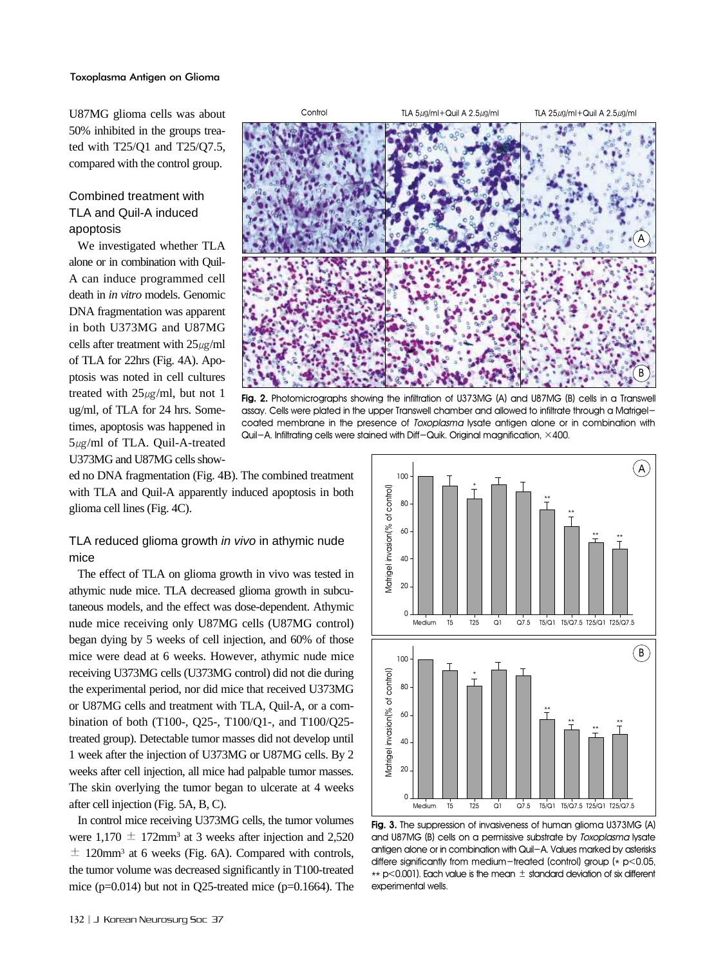U87MG glioma cells was about 50% inhibited in the groups treated with T25/Q1 and T25/Q7.5, compared with the control group.

## Combined treatment with TLA and Quil-A induced apoptosis

We investigated whether TLA alone or in combination with Quil-A can induce programmed cell death in *in vitro* models. Genomic DNA fragmentation was apparent in both U373MG and U87MG cells after treatment with  $25\mu g/ml$ of TLA for 22hrs (Fig. 4A). Apoptosis was noted in cell cultures treated with  $25\mu g/ml$ , but not 1 ug/ml, of TLA for 24 hrs. Sometimes, apoptosis was happened in 5㎍/ml of TLA. Quil-A-treated U373MG and U87MG cells show-



**Fig. 2.** Photomicrographs showing the infiltration of U373MG (A) and U87MG (B) cells in a Transwell assay. Cells were plated in the upper Transwell chamber and allowed to infiltrate through a Matrigelcoated membrane in the presence of Toxoplasma lysate antigen alone or in combination with Quil-A. Infiltrating cells were stained with Diff-Quik. Original magnification, ×400.

ed no DNA fragmentation (Fig. 4B). The combined treatment with TLA and Quil-A apparently induced apoptosis in both glioma cell lines (Fig. 4C).

## TLA reduced glioma growth *in vivo* in athymic nude mice

The effect of TLA on glioma growth in vivo was tested in athymic nude mice. TLA decreased glioma growth in subcutaneous models, and the effect was dose-dependent. Athymic nude mice receiving only U87MG cells (U87MG control) began dying by 5 weeks of cell injection, and 60% of those mice were dead at 6 weeks. However, athymic nude mice receiving U373MG cells (U373MG control) did not die during the experimental period, nor did mice that received U373MG or U87MG cells and treatment with TLA, Quil-A, or a combination of both (T100-, Q25-, T100/Q1-, and T100/Q25 treated group). Detectable tumor masses did not develop until 1 week after the injection of U373MG or U87MG cells. By 2 weeks after cell injection, all mice had palpable tumor masses. The skin overlying the tumor began to ulcerate at 4 weeks after cell injection (Fig. 5A, B, C).

In control mice receiving U373MG cells, the tumor volumes were  $1,170 \pm 172$ mm<sup>3</sup> at 3 weeks after injection and 2,520  $\pm$  120mm<sup>3</sup> at 6 weeks (Fig. 6A). Compared with controls, the tumor volume was decreased significantly in T100-treated mice ( $p=0.014$ ) but not in Q25-treated mice ( $p=0.1664$ ). The



**Fig. 3.** The suppression of invasiveness of human glioma U373MG (A) and U87MG (B) cells on a permissive substrate by Toxoplasma lysate antigen alone or in combination with Quil-A. Values marked by asterisks differe significantly from medium-treated (control) group ( $*$  p<0.05,  $*$  p<0.001). Each value is the mean  $\pm$  standard deviation of six different experimental wells.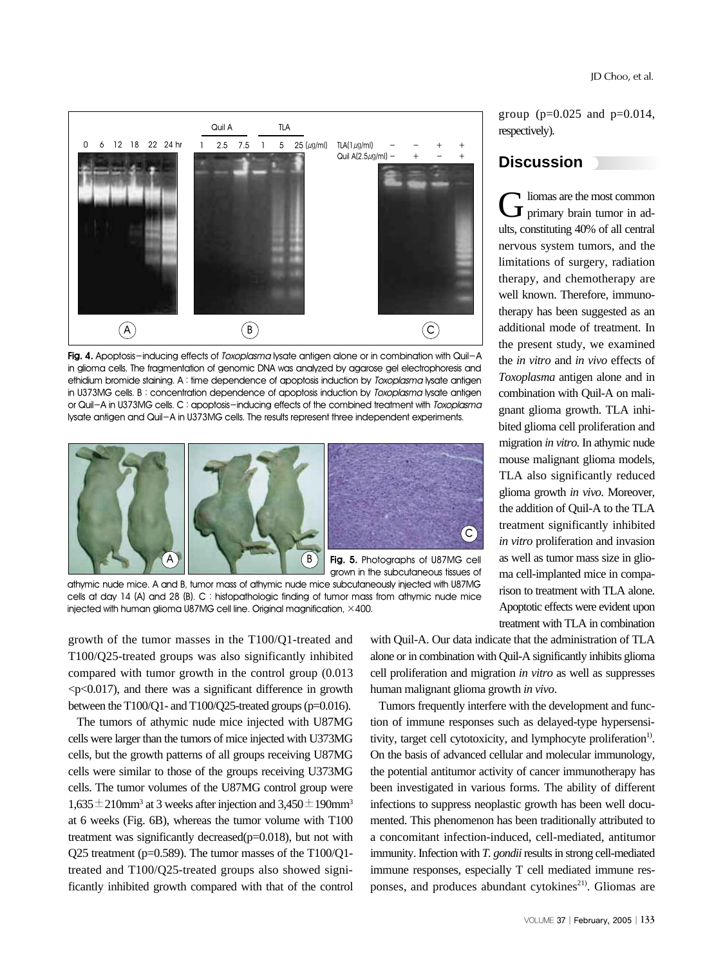

Fig. 4. Apoptosis-inducing effects of *Toxoplasma* lysate antigen alone or in combination with Quil-A in glioma cells. The fragmentation of genomic DNA was analyzed by agarose gel electrophoresis and ethidium bromide staining. A : time dependence of apoptosis induction by Toxoplasma lysate antigen in U373MG cells. B: concentration dependence of apoptosis induction by Toxoplasma lysate antigen or Quil-A in U373MG cells. C : apoptosis-inducing effects of the combined treatment with Toxoplasma lysate antigen and Quil-A in U373MG cells. The results represent three independent experiments.



grown in the subcutaneous tissues of

athymic nude mice. A and B, tumor mass of athymic nude mice subcutaneously injected with U87MG cells at day 14 (A) and 28 (B). C : histopathologic finding of tumor mass from athymic nude mice injected with human glioma U87MG cell line. Original magnification, ×400.

growth of the tumor masses in the T100/Q1-treated and T100/Q25-treated groups was also significantly inhibited compared with tumor growth in the control group (0.013  $\langle p\langle 0.017\rangle$ , and there was a significant difference in growth between the T100/Q1- and T100/Q25-treated groups (p=0.016).

The tumors of athymic nude mice injected with U87MG cells were larger than the tumors of mice injected with U373MG cells, but the growth patterns of all groups receiving U87MG cells were similar to those of the groups receiving U373MG cells. The tumor volumes of the U87MG control group were  $1,635 \pm 210$ mm<sup>3</sup> at 3 weeks after injection and  $3,450 \pm 190$ mm<sup>3</sup> at 6 weeks (Fig. 6B), whereas the tumor volume with T100 treatment was significantly decreased(p=0.018), but not with Q25 treatment (p=0.589). The tumor masses of the T100/Q1 treated and T100/Q25-treated groups also showed significantly inhibited growth compared with that of the control with Quil-A. Our data indicate that the administration of TLA alone or in combination with Quil-A significantly inhibits glioma cell proliferation and migration *in vitro* as well as suppresses human malignant glioma growth *in vivo*.

Tumors frequently interfere with the development and function of immune responses such as delayed-type hypersensitivity, target cell cytotoxicity, and lymphocyte proliferation<sup>1)</sup>. On the basis of advanced cellular and molecular immunology, the potential antitumor activity of cancer immunotherapy has been investigated in various forms. The ability of different infections to suppress neoplastic growth has been well documented. This phenomenon has been traditionally attributed to a concomitant infection-induced, cell-mediated, antitumor immunity. Infection with *T. gondii* results in strong cell-mediated immune responses, especially T cell mediated immune responses, and produces abundant cytokines<sup>21)</sup>. Gliomas are

## **Discussion**

 $G$  liomas are the most common<br>primary brain tumor in adults, constituting 40% of all central nervous system tumors, and the limitations of surgery, radiation therapy, and chemotherapy are well known. Therefore, immunotherapy has been suggested as an additional mode of treatment. In the present study, we examined the *in vitro* and *in vivo* effects of *Toxoplasma* antigen alone and in combination with Quil-A on malignant glioma growth. TLA inhibited glioma cell proliferation and migration *in vitro*. In athymic nude mouse malignant glioma models, TLA also significantly reduced glioma growth *in vivo*. Moreover, the addition of Quil-A to the TLA treatment significantly inhibited *in vitro* proliferation and invasion as well as tumor mass size in glioma cell-implanted mice in comparison to treatment with TLA alone. Apoptotic effects were evident upon treatment with TLA in combination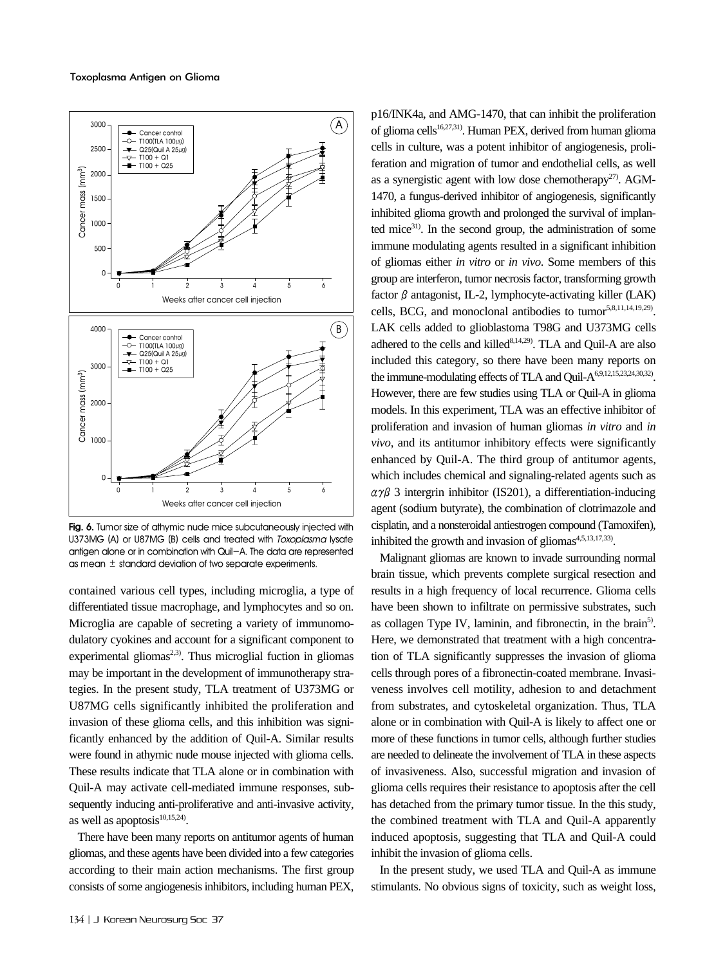

Fig. 6. Tumor size of athymic nude mice subcutaneously injected with U373MG (A) or U87MG (B) cells and treated with Toxoplasma lysate antigen alone or in combination with Quil-A. The data are represented

contained various cell types, including microglia, a type of differentiated tissue macrophage, and lymphocytes and so on. Microglia are capable of secreting a variety of immunomodulatory cyokines and account for a significant component to experimental gliomas<sup>2,3)</sup>. Thus microglial fuction in gliomas may be important in the development of immunotherapy strategies. In the present study, TLA treatment of U373MG or U87MG cells significantly inhibited the proliferation and invasion of these glioma cells, and this inhibition was significantly enhanced by the addition of Quil-A. Similar results were found in athymic nude mouse injected with glioma cells. These results indicate that TLA alone or in combination with Quil-A may activate cell-mediated immune responses, subsequently inducing anti-proliferative and anti-invasive activity, as well as apoptosis $10,15,24$ .

There have been many reports on antitumor agents of human gliomas, and these agents have been divided into a few categories according to their main action mechanisms. The first group consists of some angiogenesis inhibitors, including human PEX, p16/INK4a, and AMG-1470, that can inhibit the proliferation of glioma cells<sup>16,27,31)</sup>. Human PEX, derived from human glioma cells in culture, was a potent inhibitor of angiogenesis, proliferation and migration of tumor and endothelial cells, as well as a synergistic agent with low dose chemotherapy<sup>27)</sup>. AGM-1470, a fungus-derived inhibitor of angiogenesis, significantly inhibited glioma growth and prolonged the survival of implanted mice<sup>31)</sup>. In the second group, the administration of some immune modulating agents resulted in a significant inhibition of gliomas either *in vitro* or *in vivo*. Some members of this group are interferon, tumor necrosis factor, transforming growth factor  $\beta$  antagonist, IL-2, lymphocyte-activating killer (LAK) cells, BCG, and monoclonal antibodies to tumor<sup>5,8,11,14,19,29</sup>. LAK cells added to glioblastoma T98G and U373MG cells adhered to the cells and killed<sup>8,14,29)</sup>. TLA and Quil-A are also included this category, so there have been many reports on the immune-modulating effects of TLA and Quil-A<sup>6,9,12,15,23,24,30,32</sup>. However, there are few studies using TLA or Quil-A in glioma models. In this experiment, TLA was an effective inhibitor of proliferation and invasion of human gliomas *in vitro* and *in vivo*, and its antitumor inhibitory effects were significantly enhanced by Quil-A. The third group of antitumor agents, which includes chemical and signaling-related agents such as  $\alpha \gamma \beta$  3 intergrin inhibitor (IS201), a differentiation-inducing agent (sodium butyrate), the combination of clotrimazole and cisplatin, and a nonsteroidal antiestrogen compound (Tamoxifen), inhibited the growth and invasion of gliomas $4,5,13,17,33$ .

Malignant gliomas are known to invade surrounding normal brain tissue, which prevents complete surgical resection and results in a high frequency of local recurrence. Glioma cells have been shown to infiltrate on permissive substrates, such as collagen Type IV, laminin, and fibronectin, in the brain<sup>5)</sup>. Here, we demonstrated that treatment with a high concentration of TLA significantly suppresses the invasion of glioma cells through pores of a fibronectin-coated membrane. Invasiveness involves cell motility, adhesion to and detachment from substrates, and cytoskeletal organization. Thus, TLA alone or in combination with Quil-A is likely to affect one or more of these functions in tumor cells, although further studies are needed to delineate the involvement of TLA in these aspects of invasiveness. Also, successful migration and invasion of glioma cells requires their resistance to apoptosis after the cell has detached from the primary tumor tissue. In the this study, the combined treatment with TLA and Quil-A apparently induced apoptosis, suggesting that TLA and Quil-A could inhibit the invasion of glioma cells.

In the present study, we used TLA and Quil-A as immune stimulants. No obvious signs of toxicity, such as weight loss,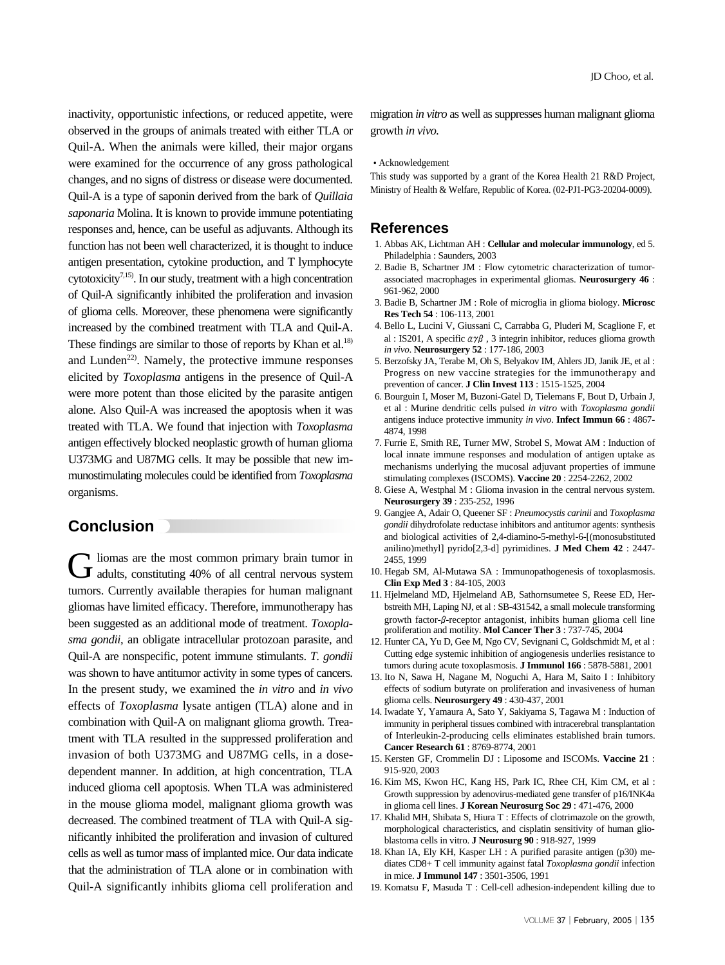inactivity, opportunistic infections, or reduced appetite, were observed in the groups of animals treated with either TLA or Quil-A. When the animals were killed, their major organs were examined for the occurrence of any gross pathological changes, and no signs of distress or disease were documented. Quil-A is a type of saponin derived from the bark of *Quillaia saponaria* Molina. It is known to provide immune potentiating responses and, hence, can be useful as adjuvants. Although its function has not been well characterized, it is thought to induce antigen presentation, cytokine production, and T lymphocyte cytotoxicity<sup>7,15)</sup>. In our study, treatment with a high concentration of Quil-A significantly inhibited the proliferation and invasion of glioma cells. Moreover, these phenomena were significantly increased by the combined treatment with TLA and Quil-A. These findings are similar to those of reports by Khan et al. $^{18)}$ and Lunden<sup>22)</sup>. Namely, the protective immune responses elicited by *Toxoplasma* antigens in the presence of Quil-A were more potent than those elicited by the parasite antigen alone. Also Quil-A was increased the apoptosis when it was treated with TLA. We found that injection with *Toxoplasma* antigen effectively blocked neoplastic growth of human glioma U373MG and U87MG cells. It may be possible that new immunostimulating molecules could be identified from *Toxoplasma* organisms.

## **Conclusion**

Gliomas are the most common primary brain tumor in adults, constituting 40% of all central nervous system tumors. Currently available therapies for human malignant gliomas have limited efficacy. Therefore, immunotherapy has been suggested as an additional mode of treatment. *Toxoplasma gondii*, an obligate intracellular protozoan parasite, and Quil-A are nonspecific, potent immune stimulants. *T. gondii* was shown to have antitumor activity in some types of cancers. In the present study, we examined the *in vitro* and *in vivo* effects of *Toxoplasma* lysate antigen (TLA) alone and in combination with Quil-A on malignant glioma growth. Treatment with TLA resulted in the suppressed proliferation and invasion of both U373MG and U87MG cells, in a dosedependent manner. In addition, at high concentration, TLA induced glioma cell apoptosis. When TLA was administered in the mouse glioma model, malignant glioma growth was decreased. The combined treatment of TLA with Quil-A significantly inhibited the proliferation and invasion of cultured cells as well as tumor mass of implanted mice. Our data indicate that the administration of TLA alone or in combination with Quil-A significantly inhibits glioma cell proliferation and migration *in vitro* as well as suppresses human malignant glioma growth *in vivo.*

#### Acknowledgement

This study was supported by a grant of the Korea Health 21 R&D Project, Ministry of Health & Welfare, Republic of Korea. (02-PJ1-PG3-20204-0009).

## **References**

- 1. Abbas AK, Lichtman AH : **Cellular and molecular immunology**, ed 5. Philadelphia : Saunders, 2003
- 2. Badie B, Schartner JM : Flow cytometric characterization of tumorassociated macrophages in experimental gliomas. **Neurosurgery 46** : 961-962, 2000
- 3. Badie B, Schartner JM : Role of microglia in glioma biology. **Microsc Res Tech 54** : 106-113, 2001
- 4. Bello L, Lucini V, Giussani C, Carrabba G, Pluderi M, Scaglione F, et al : IS201, A specific  $\alpha \gamma \beta$ , 3 integrin inhibitor, reduces glioma growth *in vivo*. **Neurosurgery 52** : 177-186, 2003
- 5. Berzofsky JA, Terabe M, Oh S, Belyakov IM, Ahlers JD, Janik JE, et al : Progress on new vaccine strategies for the immunotherapy and prevention of cancer. **J Clin Invest 113** : 1515-1525, 2004
- 6. Bourguin I, Moser M, Buzoni-Gatel D, Tielemans F, Bout D, Urbain J, et al : Murine dendritic cells pulsed *in vitro* with *Toxoplasma gondii* antigens induce protective immunity *in vivo*. **Infect Immun 66** : 4867- 4874, 1998
- 7. Furrie E, Smith RE, Turner MW, Strobel S, Mowat AM : Induction of local innate immune responses and modulation of antigen uptake as mechanisms underlying the mucosal adjuvant properties of immune stimulating complexes (ISCOMS). **Vaccine 20** : 2254-2262, 2002
- 8. Giese A, Westphal M : Glioma invasion in the central nervous system. **Neurosurgery 39** : 235-252, 1996
- 9. Gangjee A, Adair O, Queener SF : *Pneumocystis carinii* and *Toxoplasma gondii* dihydrofolate reductase inhibitors and antitumor agents: synthesis and biological activities of 2,4-diamino-5-methyl-6-[(monosubstituted anilino)methyl] pyrido[2,3-d] pyrimidines. **J Med Chem 42** : 2447- 2455, 1999
- 10. Hegab SM, Al-Mutawa SA : Immunopathogenesis of toxoplasmosis. **Clin Exp Med 3** : 84-105, 2003
- 11. Hjelmeland MD, Hjelmeland AB, Sathornsumetee S, Reese ED, Herbstreith MH, Laping NJ, et al : SB-431542, a small molecule transforming growth factor-β-receptor antagonist, inhibits human glioma cell line proliferation and motility. **Mol Cancer Ther 3** : 737-745, 2004
- 12. Hunter CA, Yu D, Gee M, Ngo CV, Sevignani C, Goldschmidt M, et al : Cutting edge systemic inhibition of angiogenesis underlies resistance to tumors during acute toxoplasmosis. **J Immunol 166** : 5878-5881, 2001
- 13. Ito N, Sawa H, Nagane M, Noguchi A, Hara M, Saito I : Inhibitory effects of sodium butyrate on proliferation and invasiveness of human glioma cells. **Neurosurgery 49** : 430-437, 2001
- 14. Iwadate Y, Yamaura A, Sato Y, Sakiyama S, Tagawa M : Induction of immunity in peripheral tissues combined with intracerebral transplantation of Interleukin-2-producing cells eliminates established brain tumors. **Cancer Research 61** : 8769-8774, 2001
- 15. Kersten GF, Crommelin DJ : Liposome and ISCOMs. **Vaccine 21** : 915-920, 2003
- 16. Kim MS, Kwon HC, Kang HS, Park IC, Rhee CH, Kim CM, et al : Growth suppression by adenovirus-mediated gene transfer of p16/INK4a in glioma cell lines. **J Korean Neurosurg Soc 29** : 471-476, 2000
- 17. Khalid MH, Shibata S, Hiura T : Effects of clotrimazole on the growth, morphological characteristics, and cisplatin sensitivity of human glioblastoma cells in vitro. **J Neurosurg 90** : 918-927, 1999
- 18. Khan IA, Ely KH, Kasper LH : A purified parasite antigen (p30) mediates CD8+ T cell immunity against fatal *Toxoplasma gondii* infection in mice. **J Immunol 147** : 3501-3506, 1991
- 19. Komatsu F, Masuda T : Cell-cell adhesion-independent killing due to